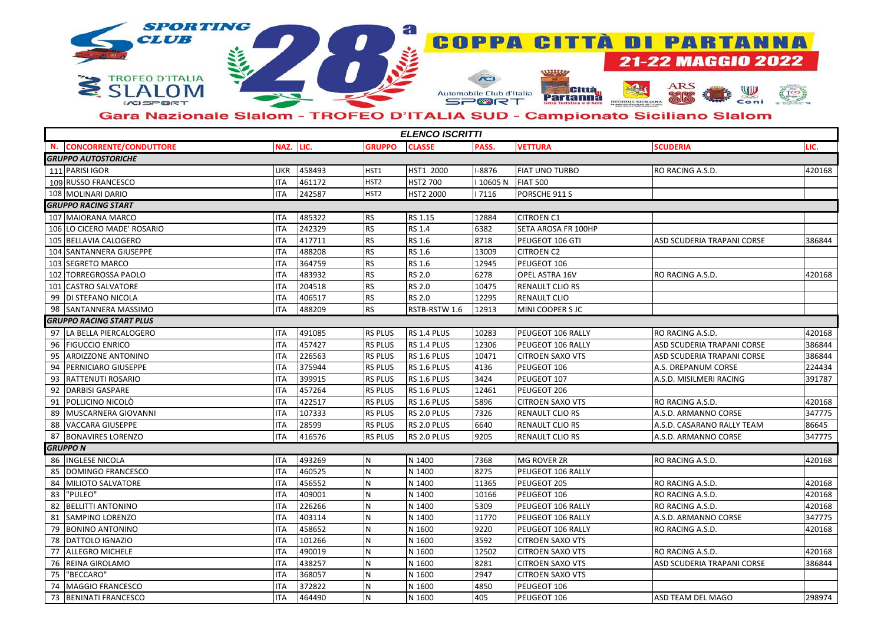

## Gara Nazionale Slalom - TROFEO D'ITALIA SUD - Campionato Siciliano Slalom

| <b>ELENCO ISCRITTI</b>              |            |        |                  |                  |        |                            |                            |        |  |
|-------------------------------------|------------|--------|------------------|------------------|--------|----------------------------|----------------------------|--------|--|
| <b>CONCORRENTE/CONDUTTORE</b><br>N. | NAZ.       | LIC.   | <b>GRUPPO</b>    | <b>CLASSE</b>    | PASS.  | <b>VETTURA</b>             | <b>SCUDERIA</b>            | LIC.   |  |
| <b>GRUPPO AUTOSTORICHE</b>          |            |        |                  |                  |        |                            |                            |        |  |
| 111 PARISI IGOR                     | <b>UKR</b> | 458493 | HST1             | HST1 2000        | -8876  | <b>FIAT UNO TURBO</b>      | RO RACING A.S.D.           | 420168 |  |
| 109 RUSSO FRANCESCO                 | <b>ITA</b> | 461172 | HST <sub>2</sub> | <b>HST2 700</b>  | 10605N | <b>FIAT 500</b>            |                            |        |  |
| 108 MOLINARI DARIO                  | <b>ITA</b> | 242587 | HST <sub>2</sub> | <b>HST2 2000</b> | 7116   | PORSCHE 911 S              |                            |        |  |
| <b>GRUPPO RACING START</b>          |            |        |                  |                  |        |                            |                            |        |  |
| 107 MAIORANA MARCO                  | <b>ITA</b> | 485322 | <b>RS</b>        | RS 1.15          | 12884  | <b>CITROEN C1</b>          |                            |        |  |
| 106 LO CICERO MADE' ROSARIO         | <b>ITA</b> | 242329 | <b>RS</b>        | RS 1.4           | 6382   | <b>SETA AROSA FR 100HP</b> |                            |        |  |
| 105 BELLAVIA CALOGERO               | <b>ITA</b> | 417711 | <b>RS</b>        | <b>RS 1.6</b>    | 8718   | PEUGEOT 106 GTI            | ASD SCUDERIA TRAPANI CORSE | 386844 |  |
| 104 SANTANNERA GIUSEPPE             | <b>ITA</b> | 488208 | <b>RS</b>        | <b>RS 1.6</b>    | 13009  | <b>CITROEN C2</b>          |                            |        |  |
| 103 SEGRETO MARCO                   | <b>ITA</b> | 364759 | <b>RS</b>        | <b>RS 1.6</b>    | 12945  | PEUGEOT 106                |                            |        |  |
| 102 TORREGROSSA PAOLO               | ITA        | 483932 | <b>RS</b>        | <b>RS 2.0</b>    | 6278   | OPEL ASTRA 16V             | RO RACING A.S.D.           | 420168 |  |
| 101 CASTRO SALVATORE                | <b>ITA</b> | 204518 | RS               | <b>RS 2.0</b>    | 10475  | <b>RENAULT CLIO RS</b>     |                            |        |  |
| 99   DI STEFANO NICOLA              | <b>ITA</b> | 406517 | <b>RS</b>        | <b>RS 2.0</b>    | 12295  | <b>RENAULT CLIO</b>        |                            |        |  |
| 98 SANTANNERA MASSIMO               | <b>ITA</b> | 488209 | <b>RS</b>        | RSTB-RSTW 1.6    | 12913  | MINI COOPER S JC           |                            |        |  |
| <b>GRUPPO RACING START PLUS</b>     |            |        |                  |                  |        |                            |                            |        |  |
| 97 LA BELLA PIERCALOGERO            | <b>ITA</b> | 491085 | <b>RS PLUS</b>   | RS 1.4 PLUS      | 10283  | PEUGEOT 106 RALLY          | RO RACING A.S.D.           | 420168 |  |
| <b>FIGUCCIO ENRICO</b><br>96        | <b>ITA</b> | 457427 | <b>RS PLUS</b>   | RS 1.4 PLUS      | 12306  | PEUGEOT 106 RALLY          | ASD SCUDERIA TRAPANI CORSE | 386844 |  |
| 95<br><b>ARDIZZONE ANTONINO</b>     | <b>ITA</b> | 226563 | <b>RS PLUS</b>   | RS 1.6 PLUS      | 10471  | <b>CITROEN SAXO VTS</b>    | ASD SCUDERIA TRAPANI CORSE | 386844 |  |
| 94<br>PERNICIARO GIUSEPPE           | <b>ITA</b> | 375944 | <b>RS PLUS</b>   | RS 1.6 PLUS      | 4136   | PEUGEOT 106                | A.S. DREPANUM CORSE        | 224434 |  |
| 93<br><b>RATTENUTI ROSARIO</b>      | <b>ITA</b> | 399915 | <b>RS PLUS</b>   | RS 1.6 PLUS      | 3424   | PEUGEOT 107                | A.S.D. MISILMERI RACING    | 391787 |  |
| 92 DARBISI GASPARE                  | <b>ITA</b> | 457264 | RS PLUS          | RS 1.6 PLUS      | 12461  | PEUGEOT 206                |                            |        |  |
| <b>POLLICINO NICOLÒ</b><br>91       | <b>ITA</b> | 422517 | RS PLUS          | RS 1.6 PLUS      | 5896   | <b>CITROEN SAXO VTS</b>    | RO RACING A.S.D.           | 420168 |  |
| MUSCARNERA GIOVANNI<br>89           | <b>ITA</b> | 107333 | RS PLUS          | RS 2.0 PLUS      | 7326   | <b>RENAULT CLIO RS</b>     | A.S.D. ARMANNO CORSE       | 347775 |  |
| <b>VACCARA GIUSEPPE</b><br>88       | <b>ITA</b> | 28599  | RS PLUS          | RS 2.0 PLUS      | 6640   | <b>RENAULT CLIO RS</b>     | A.S.D. CASARANO RALLY TEAM | 86645  |  |
| 87<br><b>BONAVIRES LORENZO</b>      | <b>ITA</b> | 416576 | RS PLUS          | RS 2.0 PLUS      | 9205   | <b>RENAULT CLIO RS</b>     | A.S.D. ARMANNO CORSE       | 347775 |  |
| <b>GRUPPO N</b>                     |            |        |                  |                  |        |                            |                            |        |  |
| 86 INGLESE NICOLA                   | <b>ITA</b> | 493269 | N                | N 1400           | 7368   | <b>MG ROVER ZR</b>         | RO RACING A.S.D.           | 420168 |  |
| DOMINGO FRANCESCO<br>85             | <b>ITA</b> | 460525 | N                | N 1400           | 8275   | PEUGEOT 106 RALLY          |                            |        |  |
| 84   MILIOTO SALVATORE              | <b>ITA</b> | 456552 | N                | N 1400           | 11365  | PEUGEOT 205                | RO RACING A.S.D.           | 420168 |  |
| 83<br>"PULEO"                       | <b>ITA</b> | 409001 | N                | N 1400           | 10166  | PEUGEOT 106                | RO RACING A.S.D.           | 420168 |  |
| <b>BELLITTI ANTONINO</b><br>82      | <b>ITA</b> | 226266 | N                | N 1400           | 5309   | PEUGEOT 106 RALLY          | RO RACING A.S.D.           | 420168 |  |
| 81<br><b>SAMPINO LORENZO</b>        | <b>ITA</b> | 403114 | N                | N 1400           | 11770  | PEUGEOT 106 RALLY          | A.S.D. ARMANNO CORSE       | 347775 |  |
| 79<br><b>BONINO ANTONINO</b>        | <b>ITA</b> | 458652 | N                | N 1600           | 9220   | PEUGEOT 106 RALLY          | RO RACING A.S.D.           | 420168 |  |
| 78<br><b>DATTOLO IGNAZIO</b>        | <b>ITA</b> | 101266 | N                | N 1600           | 3592   | <b>CITROEN SAXO VTS</b>    |                            |        |  |
| 77<br><b>ALLEGRO MICHELE</b>        | <b>ITA</b> | 490019 | N                | N 1600           | 12502  | <b>CITROEN SAXO VTS</b>    | RO RACING A.S.D.           | 420168 |  |
| 76 REINA GIROLAMO                   | ITA        | 438257 | N                | N 1600           | 8281   | <b>CITROEN SAXO VTS</b>    | ASD SCUDERIA TRAPANI CORSE | 386844 |  |
| "BECCARO"<br>75                     | <b>ITA</b> | 368057 | N                | N 1600           | 2947   | <b>CITROEN SAXO VTS</b>    |                            |        |  |
| 74   MAGGIO FRANCESCO               | ITA        | 372822 | N                | N 1600           | 4850   | PEUGEOT 106                |                            |        |  |
| 73 BENINATI FRANCESCO               | <b>ITA</b> | 464490 | N                | N 1600           | 405    | PEUGEOT 106                | ASD TEAM DEL MAGO          | 298974 |  |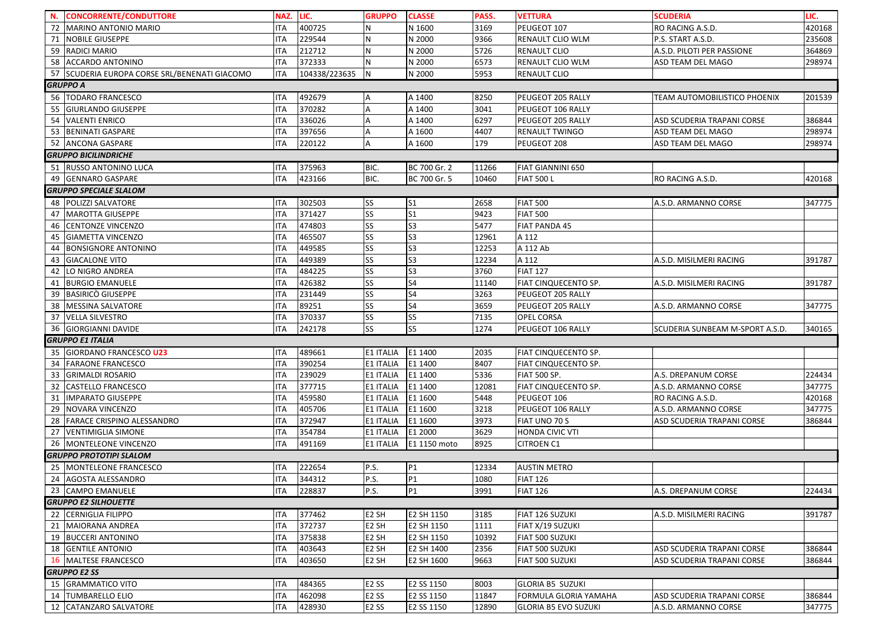|                             | N. CONCORRENTE/CONDUTTORE                     | NAZ.       | LIC.          | <b>GRUPPO</b>                          | <b>CLASSE</b>  | PASS. | <b>VETTURA</b>        | <b>SCUDERIA</b>                 | LIC.   |  |  |
|-----------------------------|-----------------------------------------------|------------|---------------|----------------------------------------|----------------|-------|-----------------------|---------------------------------|--------|--|--|
|                             | 72   MARINO ANTONIO MARIO                     | ITA        | 400725        | N                                      | N 1600         | 3169  | PEUGEOT 107           | RO RACING A.S.D.                | 420168 |  |  |
|                             | 71 NOBILE GIUSEPPE                            | ITA        | 229544        | N                                      | N 2000         | 9366  | RENAULT CLIO WLM      | P.S. START A.S.D.               | 235608 |  |  |
|                             | 59 RADICI MARIO                               | <b>ITA</b> | 212712        | $\mathsf{N}$                           | N 2000         | 5726  | RENAULT CLIO          | A.S.D. PILOTI PER PASSIONE      | 364869 |  |  |
|                             | 58 ACCARDO ANTONINO                           | ITA        | 372333        | N                                      | N 2000         | 6573  | RENAULT CLIO WLM      | ASD TEAM DEL MAGO               | 298974 |  |  |
|                             | 57 SCUDERIA EUROPA CORSE SRL/BENENATI GIACOMO | <b>ITA</b> | 104338/223635 | N                                      | N 2000         | 5953  | RENAULT CLIO          |                                 |        |  |  |
|                             | <b>GRUPPO A</b>                               |            |               |                                        |                |       |                       |                                 |        |  |  |
|                             | 56   TODARO FRANCESCO                         | ITA        | 492679        | A                                      | A 1400         | 8250  | PEUGEOT 205 RALLY     | TEAM AUTOMOBILISTICO PHOENIX    | 201539 |  |  |
|                             | 55 GIURLANDO GIUSEPPE                         | ITA        | 370282        | $\sf A$                                | A 1400         | 3041  | PEUGEOT 106 RALLY     |                                 |        |  |  |
|                             | 54 VALENTI ENRICO                             | ITA        | 336026        | $\overline{A}$                         | A 1400         | 6297  | PEUGEOT 205 RALLY     | ASD SCUDERIA TRAPANI CORSE      | 386844 |  |  |
|                             | 53 BENINATI GASPARE                           | ITA        | 397656        | A                                      | A 1600         | 4407  | RENAULT TWINGO        | ASD TEAM DEL MAGO               | 298974 |  |  |
|                             | 52 ANCONA GASPARE                             | ITA        | 220122        | A                                      | A 1600         | 179   | PEUGEOT 208           | ASD TEAM DEL MAGO               | 298974 |  |  |
| <b>GRUPPO BICILINDRICHE</b> |                                               |            |               |                                        |                |       |                       |                                 |        |  |  |
|                             | 51 RUSSO ANTONINO LUCA                        | ITA        | 375963        | BIC.                                   | BC 700 Gr. 2   | 11266 | FIAT GIANNINI 650     |                                 |        |  |  |
|                             | 49 GENNARO GASPARE                            | ITA        | 423166        | BIC.                                   | BC 700 Gr. 5   | 10460 | <b>FIAT 500 L</b>     | RO RACING A.S.D.                | 420168 |  |  |
|                             | <b>GRUPPO SPECIALE SLALOM</b>                 |            |               |                                        |                |       |                       |                                 |        |  |  |
|                             | 48 POLIZZI SALVATORE                          | ITA        | 302503        | <b>SS</b>                              | $\mathsf{S}1$  | 2658  | <b>FIAT 500</b>       | A.S.D. ARMANNO CORSE            | 347775 |  |  |
|                             | 47 MAROTTA GIUSEPPE                           | <b>ITA</b> | 371427        | SS                                     | S <sub>1</sub> | 9423  | <b>FIAT 500</b>       |                                 |        |  |  |
|                             | 46 CENTONZE VINCENZO                          | <b>ITA</b> | 474803        | SS                                     | S <sub>3</sub> | 5477  | FIAT PANDA 45         |                                 |        |  |  |
|                             | 45 GIAMETTA VINCENZO                          | ITA        | 465507        | SS                                     | S <sub>3</sub> | 12961 | A 112                 |                                 |        |  |  |
|                             | 44 BONSIGNORE ANTONINO                        | ITA        | 449585        | SS                                     | S <sub>3</sub> | 12253 | A 112 Ab              |                                 |        |  |  |
|                             | 43 GIACALONE VITO                             | ITA        | 449389        | SS                                     | S <sub>3</sub> | 12234 | A 112                 | A.S.D. MISILMERI RACING         | 391787 |  |  |
|                             | 42 LO NIGRO ANDREA                            | ITA        | 484225        | SS                                     | S <sub>3</sub> | 3760  | <b>FIAT 127</b>       |                                 |        |  |  |
|                             | 41 BURGIO EMANUELE                            | ITA        | 426382        | SS                                     | <b>S4</b>      | 11140 | FIAT CINQUECENTO SP.  | A.S.D. MISILMERI RACING         | 391787 |  |  |
|                             | 39 BASIRICO GIUSEPPE                          | ITA        | 231449        | SS                                     | S <sub>4</sub> | 3263  | PEUGEOT 205 RALLY     |                                 |        |  |  |
|                             | 38   MESSINA SALVATORE                        | ITA        | 89251         | SS                                     | <b>S4</b>      | 3659  | PEUGEOT 205 RALLY     | A.S.D. ARMANNO CORSE            | 347775 |  |  |
|                             | 37 VELLA SILVESTRO                            | ITA        | 370337        | SS                                     | <b>S5</b>      | 7135  | OPEL CORSA            |                                 |        |  |  |
|                             | 36 GIORGIANNI DAVIDE                          | ITA        | 242178        | SS                                     | S <sub>5</sub> | 1274  | PEUGEOT 106 RALLY     | SCUDERIA SUNBEAM M-SPORT A.S.D. | 340165 |  |  |
|                             | <b>GRUPPO E1 ITALIA</b>                       |            |               |                                        |                |       |                       |                                 |        |  |  |
|                             | 35 GIORDANO FRANCESCO U23                     | ITA        | 489661        | <b>E1 ITALIA</b>                       | E1 1400        | 2035  | FIAT CINQUECENTO SP.  |                                 |        |  |  |
|                             | 34 FARAONE FRANCESCO                          | ITA        | 390254        | <b>E1 ITALIA</b>                       | E1 1400        | 8407  | FIAT CINQUECENTO SP.  |                                 |        |  |  |
| 33                          | <b>GRIMALDI ROSARIO</b>                       | ITA        | 239029        | <b>E1 ITALIA</b>                       | E1 1400        | 5336  | FIAT 500 SP.          | A.S. DREPANUM CORSE             | 224434 |  |  |
| 32                          | <b>CASTELLO FRANCESCO</b>                     | ITA        | 377715        | <b>E1 ITALIA</b>                       | E1 1400        | 12081 | FIAT CINQUECENTO SP.  | A.S.D. ARMANNO CORSE            | 347775 |  |  |
|                             | 31 IMPARATO GIUSEPPE                          | ITA        | 459580        | <b>E1 ITALIA</b>                       | E1 1600        | 5448  | PEUGEOT 106           | RO RACING A.S.D.                | 420168 |  |  |
|                             | 29 NOVARA VINCENZO                            | ITA        | 405706        | <b>E1 ITALIA</b>                       | E1 1600        | 3218  | PEUGEOT 106 RALLY     | A.S.D. ARMANNO CORSE            | 347775 |  |  |
|                             | 28 FARACE CRISPINO ALESSANDRO                 | <b>ITA</b> | 372947        | <b>E1 ITALIA</b>                       | E1 1600        | 3973  | FIAT UNO 70 S         | ASD SCUDERIA TRAPANI CORSE      | 386844 |  |  |
| 27                          | <b>VENTIMIGLIA SIMONE</b>                     | ITA        | 354784        | <b>E1 ITALIA</b>                       | E1 2000        | 3629  | HONDA CIVIC VTI       |                                 |        |  |  |
|                             | 26   MONTELEONE VINCENZO                      | ITA        | 491169        | <b>E1 ITALIA</b>                       | E1 1150 moto   | 8925  | CITROEN C1            |                                 |        |  |  |
|                             | <b>GRUPPO PROTOTIPI SLALOM</b>                |            |               |                                        |                |       |                       |                                 |        |  |  |
|                             | 25 MONTELEONE FRANCESCO                       | ITA        | 222654        | P.S.                                   | P1             | 12334 | <b>AUSTIN METRO</b>   |                                 |        |  |  |
|                             | 24 AGOSTA ALESSANDRO                          | <b>ITA</b> | 344312        | P.S.                                   | P1             | 1080  | <b>FIAT 126</b>       |                                 |        |  |  |
|                             | 23 CAMPO EMANUELE                             | ITA        | 228837        | P.S.                                   | <b>P1</b>      | 3991  | <b>FIAT 126</b>       | A.S. DREPANUM CORSE             | 224434 |  |  |
| <b>GRUPPO E2 SILHOUETTE</b> |                                               |            |               |                                        |                |       |                       |                                 |        |  |  |
|                             | 22 CERNIGLIA FILIPPO                          | ITA        | 377462        | E <sub>2</sub> SH                      | E2 SH 1150     | 3185  | FIAT 126 SUZUKI       | A.S.D. MISILMERI RACING         | 391787 |  |  |
|                             | 21 MAIORANA ANDREA                            | ITA        | 372737        | E <sub>2</sub> SH                      | E2 SH 1150     | 1111  | FIAT X/19 SUZUKI      |                                 |        |  |  |
|                             | 19 BUCCERI ANTONINO                           | ITA        | 375838        | E <sub>2</sub> SH                      | E2 SH 1150     | 10392 | FIAT 500 SUZUKI       |                                 |        |  |  |
|                             | 18 GENTILE ANTONIO                            | ITA        | 403643        | E <sub>2</sub> SH                      | E2 SH 1400     | 2356  | FIAT 500 SUZUKI       | ASD SCUDERIA TRAPANI CORSE      | 386844 |  |  |
|                             | 16 MALTESE FRANCESCO                          | <b>ITA</b> | 403650        | E <sub>2</sub> SH                      | E2 SH 1600     | 9663  | FIAT 500 SUZUKI       | ASD SCUDERIA TRAPANI CORSE      | 386844 |  |  |
|                             | <b>GRUPPO E2 SS</b>                           |            |               |                                        |                |       |                       |                                 |        |  |  |
|                             | 15 GRAMMATICO VITO                            | ITA        | 484365        | E <sub>2</sub> SS                      | E2 SS 1150     | 8003  | GLORIA B5 SUZUKI      |                                 |        |  |  |
|                             |                                               |            |               |                                        |                |       |                       |                                 |        |  |  |
|                             | 14 TUMBARELLO ELIO                            | ITA        | 462098        |                                        | E2 SS 1150     | 11847 | FORMULA GLORIA YAMAHA | ASD SCUDERIA TRAPANI CORSE      | 386844 |  |  |
|                             | 12 CATANZARO SALVATORE                        | ITA        | 428930        | E <sub>2</sub> SS<br>E <sub>2</sub> SS | E2 SS 1150     | 12890 | GLORIA B5 EVO SUZUKI  | A.S.D. ARMANNO CORSE            | 347775 |  |  |